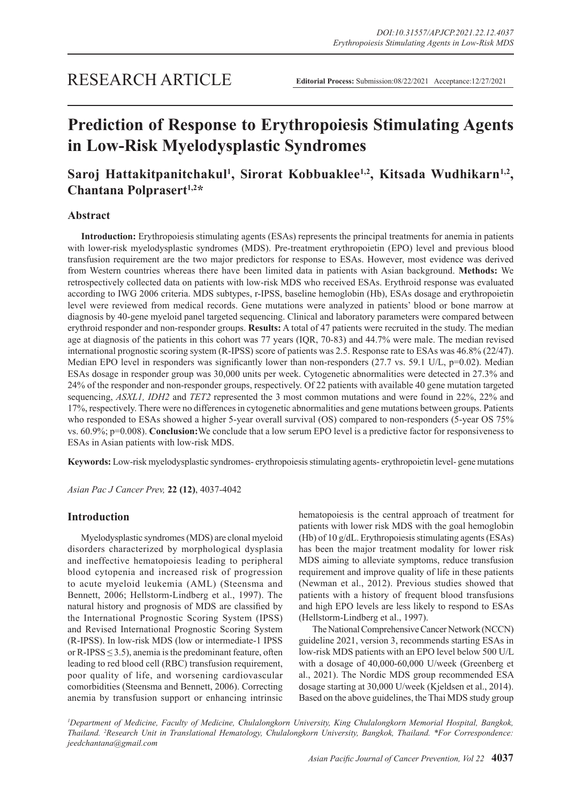# **Prediction of Response to Erythropoiesis Stimulating Agents in Low-Risk Myelodysplastic Syndromes**

## Saroj Hattakitpanitchakul<sup>1</sup>, Sirorat Kobbuaklee<sup>1,2</sup>, Kitsada Wudhikarn<sup>1,2</sup>, Chantana Polprasert<sup>1,2\*</sup>

### **Abstract**

**Introduction:** Erythropoiesis stimulating agents (ESAs) represents the principal treatments for anemia in patients with lower-risk myelodysplastic syndromes (MDS). Pre-treatment erythropoietin (EPO) level and previous blood transfusion requirement are the two major predictors for response to ESAs. However, most evidence was derived from Western countries whereas there have been limited data in patients with Asian background. **Methods:** We retrospectively collected data on patients with low-risk MDS who received ESAs. Erythroid response was evaluated according to IWG 2006 criteria. MDS subtypes, r-IPSS, baseline hemoglobin (Hb), ESAs dosage and erythropoietin level were reviewed from medical records. Gene mutations were analyzed in patients' blood or bone marrow at diagnosis by 40-gene myeloid panel targeted sequencing. Clinical and laboratory parameters were compared between erythroid responder and non-responder groups. **Results:** A total of 47 patients were recruited in the study. The median age at diagnosis of the patients in this cohort was 77 years (IQR, 70-83) and 44.7% were male. The median revised international prognostic scoring system (R-IPSS) score of patients was 2.5. Response rate to ESAs was 46.8% (22/47). Median EPO level in responders was significantly lower than non-responders (27.7 vs. 59.1 U/L, p=0.02). Median ESAs dosage in responder group was 30,000 units per week. Cytogenetic abnormalities were detected in 27.3% and 24% of the responder and non-responder groups, respectively. Of 22 patients with available 40 gene mutation targeted sequencing, *ASXL1, IDH2* and *TET2* represented the 3 most common mutations and were found in 22%, 22% and 17%, respectively. There were no differences in cytogenetic abnormalities and gene mutations between groups. Patients who responded to ESAs showed a higher 5-year overall survival (OS) compared to non-responders (5-year OS 75% vs. 60.9%; p=0.008). **Conclusion:**We conclude that a low serum EPO level is a predictive factor for responsiveness to ESAs in Asian patients with low-risk MDS.

**Keywords:** Low-risk myelodysplastic syndromes- erythropoiesis stimulating agents- erythropoietin level- gene mutations

*Asian Pac J Cancer Prev,* **22 (12)**, 4037-4042

### **Introduction**

Myelodysplastic syndromes (MDS) are clonal myeloid disorders characterized by morphological dysplasia and ineffective hematopoiesis leading to peripheral blood cytopenia and increased risk of progression to acute myeloid leukemia (AML) (Steensma and Bennett, 2006; Hellstorm-Lindberg et al., 1997). The natural history and prognosis of MDS are classified by the International Prognostic Scoring System (IPSS) and Revised International Prognostic Scoring System (R-IPSS). In low-risk MDS (low or intermediate-1 IPSS or R-IPSS  $\leq$  3.5), anemia is the predominant feature, often leading to red blood cell (RBC) transfusion requirement, poor quality of life, and worsening cardiovascular comorbidities (Steensma and Bennett, 2006). Correcting anemia by transfusion support or enhancing intrinsic hematopoiesis is the central approach of treatment for patients with lower risk MDS with the goal hemoglobin (Hb) of 10 g/dL. Erythropoiesis stimulating agents (ESAs) has been the major treatment modality for lower risk MDS aiming to alleviate symptoms, reduce transfusion requirement and improve quality of life in these patients (Newman et al., 2012). Previous studies showed that patients with a history of frequent blood transfusions and high EPO levels are less likely to respond to ESAs (Hellstorm-Lindberg et al., 1997).

The National Comprehensive Cancer Network (NCCN) guideline 2021, version 3, recommends starting ESAs in low-risk MDS patients with an EPO level below 500 U/L with a dosage of 40,000-60,000 U/week (Greenberg et al., 2021). The Nordic MDS group recommended ESA dosage starting at 30,000 U/week (Kjeldsen et al., 2014). Based on the above guidelines, the Thai MDS study group

*1 Department of Medicine, Faculty of Medicine, Chulalongkorn University, King Chulalongkorn Memorial Hospital, Bangkok, Thailand. 2 Research Unit in Translational Hematology, Chulalongkorn University, Bangkok, Thailand. \*For Correspondence: jeedchantana@gmail.com*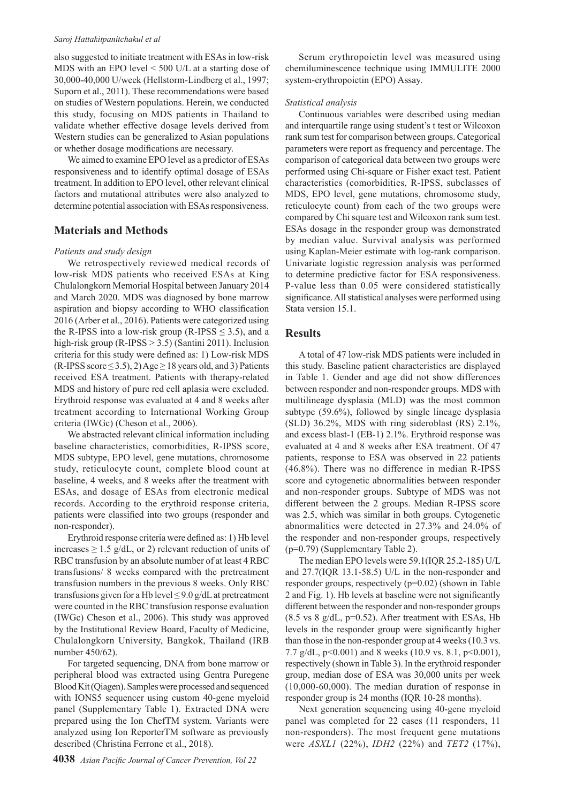#### *Saroj Hattakitpanitchakul et al*

also suggested to initiate treatment with ESAs in low-risk MDS with an EPO level < 500 U/L at a starting dose of 30,000-40,000 U/week (Hellstorm-Lindberg et al., 1997; Suporn et al., 2011). These recommendations were based on studies of Western populations. Herein, we conducted this study, focusing on MDS patients in Thailand to validate whether effective dosage levels derived from Western studies can be generalized to Asian populations or whether dosage modifications are necessary.

We aimed to examine EPO level as a predictor of ESAs responsiveness and to identify optimal dosage of ESAs treatment. In addition to EPO level, other relevant clinical factors and mutational attributes were also analyzed to determine potential association with ESAs responsiveness.

### **Materials and Methods**

#### *Patients and study design*

We retrospectively reviewed medical records of low-risk MDS patients who received ESAs at King Chulalongkorn Memorial Hospital between January 2014 and March 2020. MDS was diagnosed by bone marrow aspiration and biopsy according to WHO classification 2016 (Arber et al., 2016). Patients were categorized using the R-IPSS into a low-risk group (R-IPSS  $\leq$  3.5), and a high-risk group (R-IPSS > 3.5) (Santini 2011). Inclusion criteria for this study were defined as: 1) Low-risk MDS (R-IPSS score  $\leq$  3.5), 2) Age  $\geq$  18 years old, and 3) Patients received ESA treatment. Patients with therapy-related MDS and history of pure red cell aplasia were excluded. Erythroid response was evaluated at 4 and 8 weeks after treatment according to International Working Group criteria (IWGc) (Cheson et al., 2006).

We abstracted relevant clinical information including baseline characteristics, comorbidities, R-IPSS score, MDS subtype, EPO level, gene mutations, chromosome study, reticulocyte count, complete blood count at baseline, 4 weeks, and 8 weeks after the treatment with ESAs, and dosage of ESAs from electronic medical records. According to the erythroid response criteria, patients were classified into two groups (responder and non-responder).

Erythroid response criteria were defined as: 1) Hb level increases  $\geq 1.5$  g/dL, or 2) relevant reduction of units of RBC transfusion by an absolute number of at least 4 RBC transfusions/ 8 weeks compared with the pretreatment transfusion numbers in the previous 8 weeks. Only RBC transfusions given for a Hb level  $\leq$  9.0 g/dL at pretreatment were counted in the RBC transfusion response evaluation (IWGc) Cheson et al., 2006). This study was approved by the Institutional Review Board, Faculty of Medicine, Chulalongkorn University, Bangkok, Thailand (IRB number 450/62).

For targeted sequencing, DNA from bone marrow or peripheral blood was extracted using Gentra Puregene Blood Kit (Qiagen). Samples were processed and sequenced with IONS5 sequencer using custom 40-gene myeloid panel (Supplementary Table 1). Extracted DNA were prepared using the Ion ChefTM system. Variants were analyzed using Ion ReporterTM software as previously described (Christina Ferrone et al., 2018).

Serum erythropoietin level was measured using chemiluminescence technique using IMMULITE 2000 system-erythropoietin (EPO) Assay.

#### *Statistical analysis*

Continuous variables were described using median and interquartile range using student's t test or Wilcoxon rank sum test for comparison between groups. Categorical parameters were report as frequency and percentage. The comparison of categorical data between two groups were performed using Chi-square or Fisher exact test. Patient characteristics (comorbidities, R-IPSS, subclasses of MDS, EPO level, gene mutations, chromosome study, reticulocyte count) from each of the two groups were compared by Chi square test and Wilcoxon rank sum test. ESAs dosage in the responder group was demonstrated by median value. Survival analysis was performed using Kaplan-Meier estimate with log-rank comparison. Univariate logistic regression analysis was performed to determine predictive factor for ESA responsiveness. P-value less than 0.05 were considered statistically significance. All statistical analyses were performed using Stata version 15.1.

### **Results**

A total of 47 low-risk MDS patients were included in this study. Baseline patient characteristics are displayed in Table 1. Gender and age did not show differences between responder and non-responder groups. MDS with multilineage dysplasia (MLD) was the most common subtype (59.6%), followed by single lineage dysplasia (SLD) 36.2%, MDS with ring sideroblast (RS) 2.1%, and excess blast-1 (EB-1) 2.1%. Erythroid response was evaluated at 4 and 8 weeks after ESA treatment. Of 47 patients, response to ESA was observed in 22 patients (46.8%). There was no difference in median R-IPSS score and cytogenetic abnormalities between responder and non-responder groups. Subtype of MDS was not different between the 2 groups. Median R-IPSS score was 2.5, which was similar in both groups. Cytogenetic abnormalities were detected in 27.3% and 24.0% of the responder and non-responder groups, respectively (p=0.79) (Supplementary Table 2).

The median EPO levels were 59.1(IQR 25.2-185) U/L and 27.7(IQR 13.1-58.5) U/L in the non-responder and responder groups, respectively (p=0.02) (shown in Table 2 and Fig. 1). Hb levels at baseline were not significantly different between the responder and non-responder groups  $(8.5 \text{ vs } 8 \text{ g/dL}, \text{p=0.52})$ . After treatment with ESAs, Hb levels in the responder group were significantly higher than those in the non-responder group at 4 weeks (10.3 vs. 7.7 g/dL,  $p<0.001$ ) and 8 weeks (10.9 vs. 8.1,  $p<0.001$ ), respectively (shown in Table 3). In the erythroid responder group, median dose of ESA was 30,000 units per week (10,000-60,000). The median duration of response in responder group is 24 months (IQR 10-28 months).

Next generation sequencing using 40-gene myeloid panel was completed for 22 cases (11 responders, 11 non-responders). The most frequent gene mutations were *ASXL1* (22%), *IDH2* (22%) and *TET2* (17%),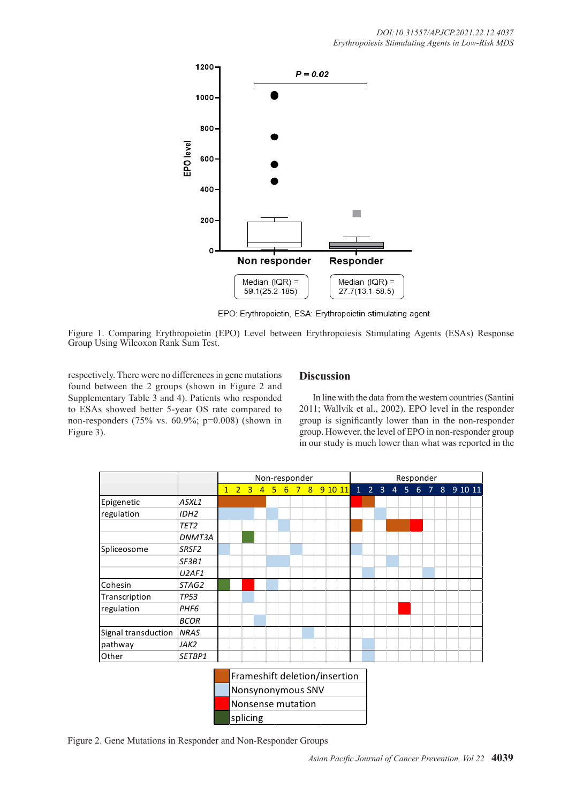

EPO: Erythropoietin, ESA: Erythropoietin stimulating agent

Figure 1. Comparing Erythropoietin (EPO) Level between Erythropoiesis Stimulating Agents (ESAs) Response Group Using Wilcoxon Rank Sum Test.

respectively. There were no differences in gene mutations found between the 2 groups (shown in Figure 2 and Supplementary Table 3 and 4). Patients who responded to ESAs showed better 5-year OS rate compared to non-responders (75% vs. 60.9%; p=0.008) (shown in Figure 3).

### **Discussion**

In line with the data from the western countries (Santini 2011; Wallvik et al., 2002). EPO level in the responder group is significantly lower than in the non-responder group. However, the level of EPO in non-responder group in our study is much lower than what was reported in the



Figure 2. Gene Mutations in Responder and Non-Responder Groups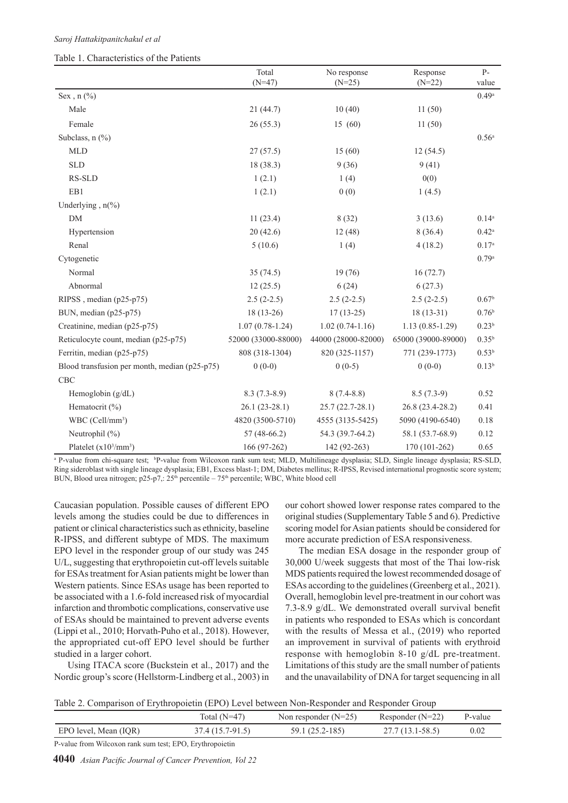#### Table 1. Characteristics of the Patients

|                                               | Total<br>$(N=47)$   | No response<br>$(N=25)$ | Response<br>$(N=22)$ | $P-$<br>value       |
|-----------------------------------------------|---------------------|-------------------------|----------------------|---------------------|
| Sex, $n$ (%)                                  |                     |                         |                      | $0.49^{\rm a}$      |
| Male                                          | 21(44.7)            | 10(40)                  | 11(50)               |                     |
| Female                                        | 26(55.3)            | 15 (60)                 | 11(50)               |                     |
| Subclass, $n$ $(\%)$                          |                     |                         |                      | $0.56^{\mathrm{a}}$ |
| <b>MLD</b>                                    | 27(57.5)            | 15(60)                  | 12(54.5)             |                     |
| <b>SLD</b>                                    | 18 (38.3)           | 9(36)                   | 9(41)                |                     |
| RS-SLD                                        | 1(2.1)              | 1(4)                    | 0(0)                 |                     |
| EB1                                           | 1(2.1)              | 0(0)                    | 1(4.5)               |                     |
| Underlying, $n\frac{6}{6}$                    |                     |                         |                      |                     |
| $DM$                                          | 11(23.4)            | 8(32)                   | 3(13.6)              | $0.14^{a}$          |
| Hypertension                                  | 20(42.6)            | 12(48)                  | 8(36.4)              | $0.42^{\rm a}$      |
| Renal                                         | 5(10.6)             | 1(4)                    | 4(18.2)              | 0.17 <sup>a</sup>   |
| Cytogenetic                                   |                     |                         |                      | 0.79a               |
| Normal                                        | 35(74.5)            | 19(76)                  | 16(72.7)             |                     |
| Abnormal                                      | 12(25.5)            | 6(24)                   | 6(27.3)              |                     |
| RIPSS, median (p25-p75)                       | $2.5(2-2.5)$        | $2.5(2-2.5)$            | $2.5(2-2.5)$         | 0.67 <sup>b</sup>   |
| BUN, median (p25-p75)                         | $18(13-26)$         | $17(13-25)$             | $18(13-31)$          | 0.76 <sup>b</sup>   |
| Creatinine, median (p25-p75)                  | $1.07(0.78-1.24)$   | $1.02(0.74-1.16)$       | $1.13(0.85-1.29)$    | 0.23 <sup>b</sup>   |
| Reticulocyte count, median (p25-p75)          | 52000 (33000-88000) | 44000 (28000-82000)     | 65000 (39000-89000)  | $0.35^{b}$          |
| Ferritin, median (p25-p75)                    | 808 (318-1304)      | 820 (325-1157)          | 771 (239-1773)       | $0.53^{b}$          |
| Blood transfusion per month, median (p25-p75) | $0(0-0)$            | $0(0-5)$                | $0(0-0)$             | $0.13^{b}$          |
| <b>CBC</b>                                    |                     |                         |                      |                     |
| Hemoglobin $(g/dL)$                           | $8.3(7.3-8.9)$      | $8(7.4-8.8)$            | $8.5(7.3-9)$         | 0.52                |
| Hematocrit (%)                                | $26.1(23-28.1)$     | $25.7(22.7-28.1)$       | 26.8 (23.4-28.2)     | 0.41                |
| WBC (Cell/mm <sup>3</sup> )                   | 4820 (3500-5710)    | 4555 (3135-5425)        | 5090 (4190-6540)     | 0.18                |
| Neutrophil (%)                                | $57(48-66.2)$       | 54.3 (39.7-64.2)        | 58.1 (53.7-68.9)     | 0.12                |
| Platelet $(x10^3/mm^3)$                       | 166 (97-262)        | 142 (92-263)            | 170 (101-262)        | 0.65                |

<sup>a</sup> P-value from chi-square test; <sup>b</sup>P-value from Wilcoxon rank sum test; MLD, Multilineage dysplasia; SLD, Single lineage dysplasia; RS-SLD, Ring sideroblast with single lineage dysplasia; EB1, Excess blast-1; DM, Diabetes mellitus; R-IPSS, Revised international prognostic score system; BUN, Blood urea nitrogen;  $p25-p7$ ;  $25<sup>th</sup>$  percentile –  $75<sup>th</sup>$  percentile; WBC, White blood cell

Caucasian population. Possible causes of different EPO levels among the studies could be due to differences in patient or clinical characteristics such as ethnicity, baseline R-IPSS, and different subtype of MDS. The maximum EPO level in the responder group of our study was 245 U/L, suggesting that erythropoietin cut-off levels suitable for ESAs treatment for Asian patients might be lower than Western patients. Since ESAs usage has been reported to be associated with a 1.6-fold increased risk of myocardial infarction and thrombotic complications, conservative use of ESAs should be maintained to prevent adverse events (Lippi et al., 2010; Horvath-Puho et al., 2018). However, the appropriated cut-off EPO level should be further studied in a larger cohort.

Using ITACA score (Buckstein et al., 2017) and the Nordic group's score (Hellstorm-Lindberg et al., 2003) in

our cohort showed lower response rates compared to the original studies (Supplementary Table 5 and 6). Predictive scoring model for Asian patients should be considered for more accurate prediction of ESA responsiveness.

The median ESA dosage in the responder group of 30,000 U/week suggests that most of the Thai low-risk MDS patients required the lowest recommended dosage of ESAs according to the guidelines (Greenberg et al., 2021). Overall, hemoglobin level pre-treatment in our cohort was 7.3-8.9 g/dL. We demonstrated overall survival benefit in patients who responded to ESAs which is concordant with the results of Messa et al., (2019) who reported an improvement in survival of patients with erythroid response with hemoglobin 8-10 g/dL pre-treatment. Limitations of this study are the small number of patients and the unavailability of DNA for target sequencing in all

Table 2. Comparison of Erythropoietin (EPO) Level between Non-Responder and Responder Group

|                       | Total $(N=47)$   | Non responder $(N=25)$ | Responder $(N=22)$ | P-value |
|-----------------------|------------------|------------------------|--------------------|---------|
| EPO level, Mean (IQR) | 37.4 (15.7-91.5) | 59.1 (25.2-185)        | $27.7(13.1-58.5)$  | 0.02    |

P-value from Wilcoxon rank sum test; EPO, Erythropoietin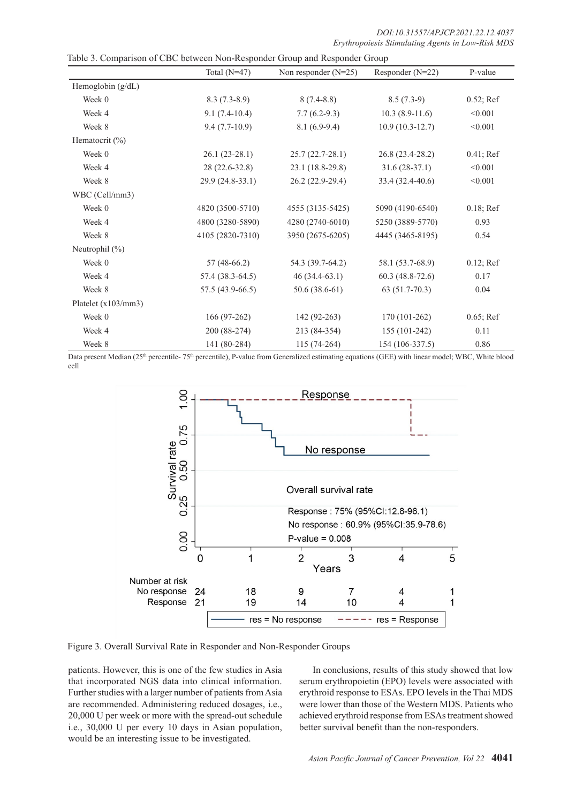| Table 3. Comparison of CBC between Non-Responder Group and Responder Group |                   |                        |                   |              |  |  |  |
|----------------------------------------------------------------------------|-------------------|------------------------|-------------------|--------------|--|--|--|
|                                                                            | Total $(N=47)$    | Non responder $(N=25)$ | Responder (N=22)  | P-value      |  |  |  |
| Hemoglobin $(g/dL)$                                                        |                   |                        |                   |              |  |  |  |
| Week 0                                                                     | $8.3(7.3-8.9)$    | $8(7.4-8.8)$           | $8.5(7.3-9)$      | $0.52$ ; Ref |  |  |  |
| Week 4                                                                     | $9.1(7.4-10.4)$   | $7.7(6.2-9.3)$         | $10.3(8.9-11.6)$  | < 0.001      |  |  |  |
| Week 8                                                                     | $9.4(7.7-10.9)$   | $8.1(6.9-9.4)$         | $10.9(10.3-12.7)$ | < 0.001      |  |  |  |
| Hematocrit $(\% )$                                                         |                   |                        |                   |              |  |  |  |
| Week 0                                                                     | $26.1(23-28.1)$   | $25.7(22.7-28.1)$      | 26.8 (23.4-28.2)  | $0.41;$ Ref  |  |  |  |
| Week 4                                                                     | 28 (22.6-32.8)    | 23.1 (18.8-29.8)       | $31.6(28-37.1)$   | < 0.001      |  |  |  |
| Week 8                                                                     | 29.9 (24.8-33.1)  | 26.2 (22.9-29.4)       | 33.4 (32.4-40.6)  | < 0.001      |  |  |  |
| WBC (Cell/mm3)                                                             |                   |                        |                   |              |  |  |  |
| Week 0                                                                     | 4820 (3500-5710)  | 4555 (3135-5425)       | 5090 (4190-6540)  | $0.18$ ; Ref |  |  |  |
| Week 4                                                                     | 4800 (3280-5890)  | 4280 (2740-6010)       | 5250 (3889-5770)  | 0.93         |  |  |  |
| Week 8                                                                     | 4105 (2820-7310)  | 3950 (2675-6205)       | 4445 (3465-8195)  | 0.54         |  |  |  |
| Neutrophil (%)                                                             |                   |                        |                   |              |  |  |  |
| Week 0                                                                     | $57(48-66.2)$     | 54.3 (39.7-64.2)       | 58.1 (53.7-68.9)  | $0.12$ ; Ref |  |  |  |
| Week 4                                                                     | 57.4 (38.3-64.5)  | $46(34.4-63.1)$        | $60.3(48.8-72.6)$ | 0.17         |  |  |  |
| Week 8                                                                     | $57.5(43.9-66.5)$ | $50.6(38.6-61)$        | $63(51.7-70.3)$   | 0.04         |  |  |  |
| Platelet (x103/mm3)                                                        |                   |                        |                   |              |  |  |  |
| Week 0                                                                     | $166(97-262)$     | $142(92-263)$          | $170(101-262)$    | 0.65; Ref    |  |  |  |
| Week 4                                                                     | 200 (88-274)      | 213 (84-354)           | 155 (101-242)     | 0.11         |  |  |  |
| Week 8                                                                     | 141 (80-284)      | $115(74-264)$          | 154 (106-337.5)   | 0.86         |  |  |  |

Data present Median (25<sup>th</sup> percentile- 75<sup>th</sup> percentile), P-value from Generalized estimating equations (GEE) with linear model; WBC, White blood cell



Figure 3. Overall Survival Rate in Responder and Non-Responder Groups

patients. However, this is one of the few studies in Asia that incorporated NGS data into clinical information. Further studies with a larger number of patients from Asia are recommended. Administering reduced dosages, i.e., 20,000 U per week or more with the spread-out schedule i.e., 30,000 U per every 10 days in Asian population, would be an interesting issue to be investigated.

In conclusions, results of this study showed that low serum erythropoietin (EPO) levels were associated with erythroid response to ESAs. EPO levels in the Thai MDS were lower than those of the Western MDS. Patients who achieved erythroid response from ESAs treatment showed better survival benefit than the non-responders.